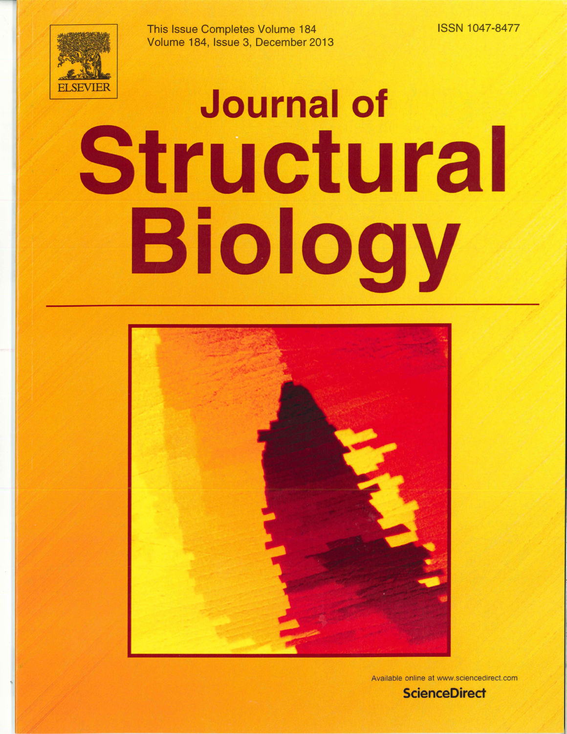This Issue Completes Volume 184 Volume 184, Issue 3, December 2013 **ISSN 1047-8477** 



## **Journal of** Structural Biology



Available online at www.sciencedirect.com

**ScienceDirect**